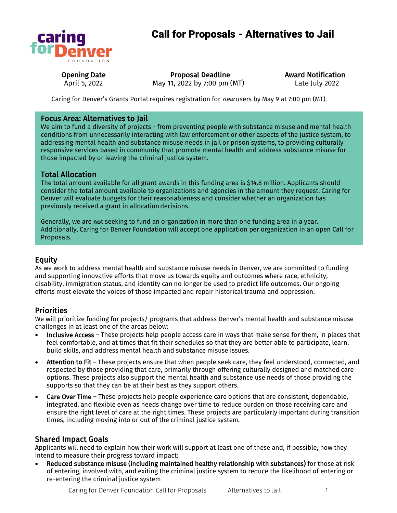

# Call for Proposals - Alternatives to Jail

Opening Date April 5, 2022

Proposal Deadline May 11, 2022 by 7:00 pm (MT) Award Notification Late July 2022

Caring for Denver's Grants Portal requires registration for *new* users by May 9 at 7:00 pm (MT).

### Focus Area: Alternatives to Jail

We aim to fund a diversity of projects - from preventing people with substance misuse and mental health conditions from unnecessarily interacting with law enforcement or other aspects of the justice system, to addressing mental health and substance misuse needs in jail or prison systems, to providing culturally responsive services based in community that promote mental health and address substance misuse for those impacted by or leaving the criminal justice system.

## Total Allocation

The total amount available for all grant awards in this funding area is \$14.8 million. Applicants should consider the total amount available to organizations and agencies in the amount they request. Caring for Denver will evaluate budgets for their reasonableness and consider whether an organization has previously received a grant in allocation decisions.

Generally, we are not seeking to fund an organization in more than one funding area in a year. Additionally, Caring for Denver Foundation will accept one application per organization in an open Call for Proposals.

# Equity

As we work to address mental health and substance misuse needs in Denver, we are committed to funding and supporting innovative efforts that move us towards equity and outcomes where race, ethnicity, disability, immigration status, and identity can no longer be used to predict life outcomes. Our ongoing efforts must elevate the voices of those impacted and repair historical trauma and oppression.

### **Priorities**

We will prioritize funding for projects/ programs that address Denver's mental health and substance misuse challenges in at least one of the areas below:

- Inclusive Access These projects help people access care in ways that make sense for them, in places that feel comfortable, and at times that fit their schedules so that they are better able to participate, learn, build skills, and address mental health and substance misuse issues.
- Attention to Fit These projects ensure that when people seek care, they feel understood, connected, and respected by those providing that care, primarily through offering culturally designed and matched care options. These projects also support the mental health and substance use needs of those providing the supports so that they can be at their best as they support others.
- Care Over Time These projects help people experience care options that are consistent, dependable, integrated, and flexible even as needs change over time to reduce burden on those receiving care and ensure the right level of care at the right times. These projects are particularly important during transition times, including moving into or out of the criminal justice system.

### Shared Impact Goals

Applicants will need to explain how their work will support at least one of these and, if possible, how they intend to measure their progress toward impact:

• Reduced substance misuse (including maintained healthy relationship with substances) for those at risk of entering, involved with, and exiting the criminal justice system to reduce the likelihood of entering or re-entering the criminal justice system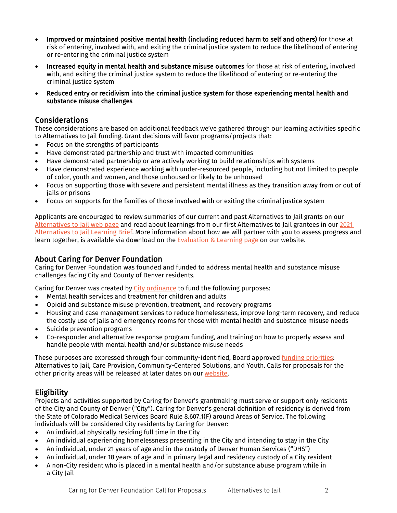- Improved or maintained positive mental health (including reduced harm to self and others) for those at risk of entering, involved with, and exiting the criminal justice system to reduce the likelihood of entering or re-entering the criminal justice system
- Increased equity in mental health and substance misuse outcomes for those at risk of entering, involved with, and exiting the criminal justice system to reduce the likelihood of entering or re-entering the criminal justice system
- Reduced entry or recidivism into the criminal justice system for those experiencing mental health and substance misuse challenges

#### Considerations

These considerations are based on additional feedback we've gathered through our learning activities specific to Alternatives to Jail funding. Grant decisions will favor programs/projects that:

- Focus on the strengths of participants
- Have demonstrated partnership and trust with impacted communities
- Have demonstrated partnership or are actively working to build relationships with systems
- Have demonstrated experience working with under-resourced people, including but not limited to people of color, youth and women, and those unhoused or likely to be unhoused
- Focus on supporting those with severe and persistent mental illness as they transition away from or out of jails or prisons
- Focus on supports for the families of those involved with or exiting the criminal justice system

Applicants are encouraged to review summaries of our current and past Alternatives to Jail grants on our [Alternatives to Jail web page](https://caring4denver.org/work/alternatives-to-jail/) and read about learnings from our first Alternatives to Jail grantees in our 2021 [Alternatives to Jail Learning Brief.](https://caring4denver.org/wp-content/uploads/2021/07/Caring-for-Denver-Foundation-Learning-Brief-Alternatives-to-Jail-April-2021.pdf) More information about how we will partner with you to assess progress and learn together, is available via download on th[e Evaluation & Learning page](https://caring4denver.org/grants/evaluation-learning/) on our website.

About Caring for Denver Foundation<br>Caring for Denver Foundation was founded and funded to address mental health and substance misuse challenges facing City and County of Denver residents.

Caring for Denver was created by [City ordinance](https://caring4denver.org/wp-content/uploads/2020/06/C4D-Ordinance-Amended-FINAL-62218.pdf) to fund the following purposes:

- Mental health services and treatment for children and adults
- Opioid and substance misuse prevention, treatment, and recovery programs
- Housing and case management services to reduce homelessness, improve long-term recovery, and reduce the costly use of jails and emergency rooms for those with mental health and substance misuse needs
- Suicide prevention programs
- Co-responder and alternative response program funding, and training on how to properly assess and handle people with mental health and/or substance misuse needs

These purposes are expressed through four community-identified, Board approved [funding priorities:](https://caring4denver.org/wp-content/uploads/2020/05/Caring-for-Denver-Foundation-Strategic-Priorities-Report_FINAL-2020.pdf) Alternatives to Jail, Care Provision, Community-Centered Solutions, and Youth. Calls for proposals for the other priority areas will be released at later dates on ou[r website.](https://caring4denver.org/)

# **Eligibility**

Projects and activities supported by Caring for Denver's grantmaking must serve or support only residents of the City and County of Denver ("City"). Caring for Denver's general definition of residency is derived from the State of Colorado Medical Services Board Rule 8.607.1(F) around Areas of Service. The following individuals will be considered City residents by Caring for Denver:

- An individual physically residing full time in the City
- An individual experiencing homelessness presenting in the City and intending to stay in the City
- An individual, under 21 years of age and in the custody of Denver Human Services ("DHS")
- An individual, under 18 years of age and in primary legal and residency custody of a City resident
- A non-City resident who is placed in a mental health and/or substance abuse program while in a City Jail